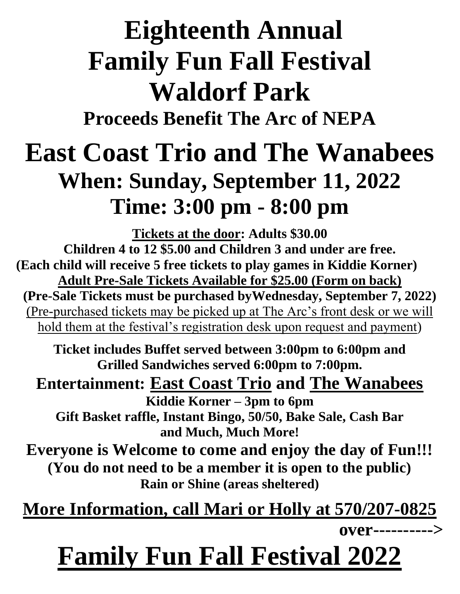# **Eighteenth Annual Family Fun Fall Festival Waldorf Park**

**Proceeds Benefit The Arc of NEPA** 

## **East Coast Trio and The Wanabees When: Sunday, September 11, 2022 Time: 3:00 pm - 8:00 pm**

**Tickets at the door: Adults \$30.00 Children 4 to 12 \$5.00 and Children 3 and under are free. (Each child will receive 5 free tickets to play games in Kiddie Korner) Adult Pre-Sale Tickets Available for \$25.00 (Form on back) (Pre-Sale Tickets must be purchased byWednesday, September 7, 2022)** (Pre-purchased tickets may be picked up at The Arc's front desk or we will hold them at the festival's registration desk upon request and payment)

**Ticket includes Buffet served between 3:00pm to 6:00pm and Grilled Sandwiches served 6:00pm to 7:00pm.**

#### **Entertainment: East Coast Trio and The Wanabees**

**Kiddie Korner – 3pm to 6pm Gift Basket raffle, Instant Bingo, 50/50, Bake Sale, Cash Bar and Much, Much More!** 

**Everyone is Welcome to come and enjoy the day of Fun!!! (You do not need to be a member it is open to the public) Rain or Shine (areas sheltered)** 

**More Information, call Mari or Holly at 570/207-0825**

**over---------->**

## **Family Fun Fall Festival 2022**